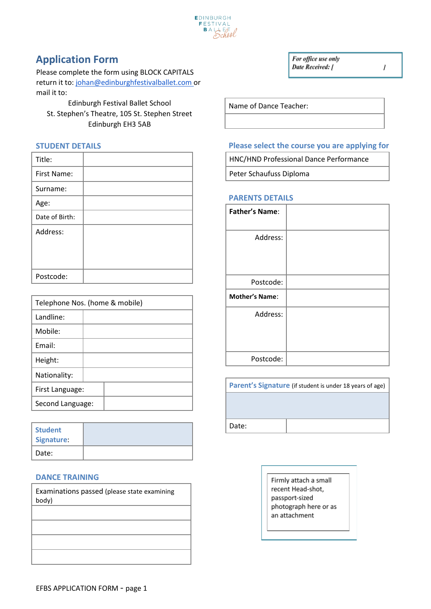

## **Application Form**

Please complete the form using BLOCK CAPITALS return it to: johan@edinburghfestivalballet.com or mail it to:

Edinburgh Festival Ballet School St. Stephen's Theatre, 105 St. Stephen Street Edinburgh EH3 5AB

#### **STUDENT DETAILS**

| Title:         |  |
|----------------|--|
| First Name:    |  |
| Surname:       |  |
| Age:           |  |
| Date of Birth: |  |
| Address:       |  |
|                |  |
|                |  |
| Postcode:      |  |

| Telephone Nos. (home & mobile) |  |  |
|--------------------------------|--|--|
| Landline:                      |  |  |
| Mobile:                        |  |  |
| Email:                         |  |  |
| Height:                        |  |  |
| Nationality:                   |  |  |
| First Language:                |  |  |
| Second Language:               |  |  |

| <b>Student</b><br>Signature: |  |
|------------------------------|--|
| Date:                        |  |

#### **DANCE TRAINING**

| Examinations passed (please state examining |  |  |
|---------------------------------------------|--|--|
| body)                                       |  |  |
|                                             |  |  |
|                                             |  |  |
|                                             |  |  |
|                                             |  |  |
|                                             |  |  |
|                                             |  |  |
|                                             |  |  |
|                                             |  |  |

Name of Dance Teacher:

#### **Please select the course you are applying for**

HNC/HND Professional Dance Performance

Peter Schaufuss Diploma

#### **PARENTS DETAILS**

| <b>Father's Name:</b> |  |
|-----------------------|--|
| Address:              |  |
| Postcode:             |  |
| <b>Mother's Name:</b> |  |
| Address:              |  |
| Postcode:             |  |

**Parent's Signature** (if student is under 18 years of age) Date:

> Firmly attach a small recent Head-shot, passport-sized photograph here or as an attachment

For office use only Date Received: [

 $\mathcal{I}$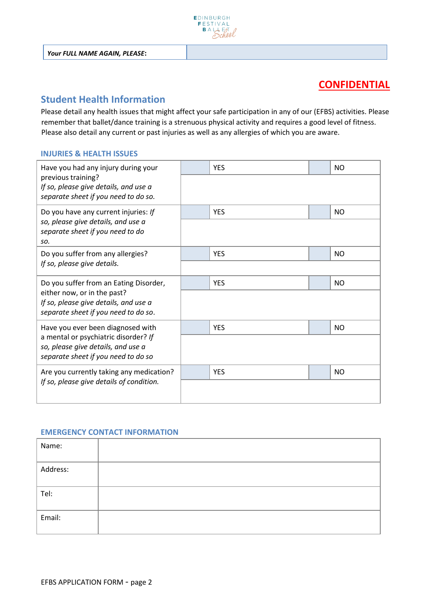

### **CONFIDENTIAL**

### **Student Health Information**

Please detail any health issues that might affect your safe participation in any of our (EFBS) activities. Please remember that ballet/dance training is a strenuous physical activity and requires a good level of fitness. Please also detail any current or past injuries as well as any allergies of which you are aware.

#### **INJURIES & HEALTH ISSUES**

| Have you had any injury during your                                                                               | <b>YES</b> | <b>NO</b>      |
|-------------------------------------------------------------------------------------------------------------------|------------|----------------|
| previous training?<br>If so, please give details, and use a<br>separate sheet if you need to do so.               |            |                |
| Do you have any current injuries: If                                                                              | <b>YES</b> | <b>NO</b>      |
| so, please give details, and use a<br>separate sheet if you need to do<br>SO.                                     |            |                |
| Do you suffer from any allergies?                                                                                 | <b>YES</b> | N <sub>O</sub> |
| If so, please give details.                                                                                       |            |                |
| Do you suffer from an Eating Disorder,                                                                            | <b>YES</b> | <b>NO</b>      |
| either now, or in the past?<br>If so, please give details, and use a<br>separate sheet if you need to do so.      |            |                |
| Have you ever been diagnosed with                                                                                 | <b>YES</b> | N <sub>O</sub> |
| a mental or psychiatric disorder? If<br>so, please give details, and use a<br>separate sheet if you need to do so |            |                |
| Are you currently taking any medication?                                                                          | <b>YES</b> | N <sub>O</sub> |
| If so, please give details of condition.                                                                          |            |                |

#### **EMERGENCY CONTACT INFORMATION**

| Name:    |  |
|----------|--|
| Address: |  |
| Tel:     |  |
| Email:   |  |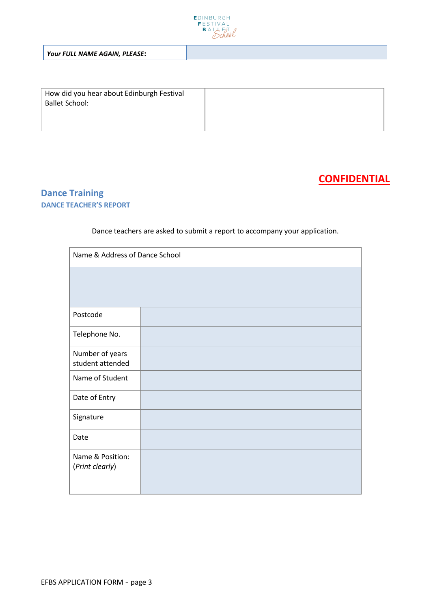

*Your FULL NAME AGAIN, PLEASE***:**

| How did you hear about Edinburgh Festival<br><b>Ballet School:</b> |  |
|--------------------------------------------------------------------|--|
|                                                                    |  |
|                                                                    |  |

## **CONFIDENTIAL**

### **Dance Training DANCE TEACHER'S REPORT**

Dance teachers are asked to submit a report to accompany your application.

| Name & Address of Dance School      |  |  |
|-------------------------------------|--|--|
|                                     |  |  |
|                                     |  |  |
| Postcode                            |  |  |
| Telephone No.                       |  |  |
| Number of years<br>student attended |  |  |
| Name of Student                     |  |  |
| Date of Entry                       |  |  |
| Signature                           |  |  |
| Date                                |  |  |
| Name & Position:<br>(Print clearly) |  |  |